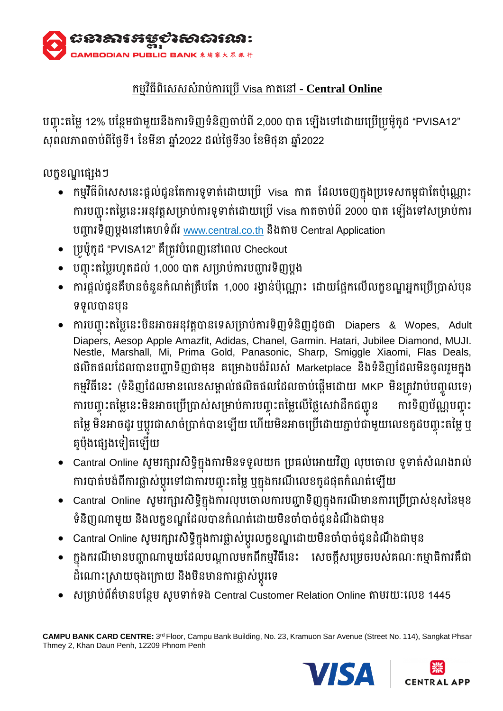

# កម្វមធិីពិសេេេំរាបកា់ រស្បើVisa កាតសៅ **- Central Online**

បញ្ចុះតម្លេ 12% បន្ថែមជាមួយនងការទញទំនិញចាប់ពី 2,000 បាត ឡេងទៅដោយប្រេប្រូមូកូដ "PVISA12" សុពលភាពចាប់ពីថ្ងៃទី1 ខែមីនា ឆ្នាំ2022 ដល់ថ្ងៃទី30 ខែមិថុនា ឆ្នាំ2022

លក្ខខណ្ឌផ្សេងៗ

- $\bullet$  កម្មវិធីពិសេសនេះផ្ដល់ជូនតែការទូទាត់ដោយប្រើ Visa កាត ដែលចេញក្នុងប្រទេសកម្ពុជាតែប៉ុណ្ណោះ ការបញ្ចុះតម្លៃនេះអនុវត្តសម្រាប់ការទូទាត់ដោយប្រើ Visa កាតចាប់ពី 2000 បាត ឡើងទៅសម្រាប់ការ បញ្ច្រទិញម្ងដ សៅសេហទំពរ័ www.central.co.th ថិងតាម្ Central Application
- ្បូម្ ៉ូក៉ូដ "PVISA12" េឺ្តូវបំសពញសៅសពល Checkout
- បញ្ច ុះតម្ម្រៃហ៉ូតដល់ 1,000 បាត េ្ាបកា់ របញ្ច្រទិញម្ដង
- ការផ្តល់ជូនគឺមានចំនួនកំណត់ត្រឹមតែ 1,000 រង្វាន់ប៉ុណ្ណេះ ដោយផ្អែកលើលក្ខខណ្ឌអ្នកប្រើប្រាស់មុន ទទួលបានមុន
- $\bullet$  ការបញ្ចុះតម្លៃនេះមិនអាចអនុវត្តបានទេសម្រាប់ការទិញទំនិញដូចជា Diapers & Wopes, Adult Diapers, Aesop Apple Amazfit, Adidas, Chanel, Garmin. Hatari, Jubilee Diamond, MUJI. Nestle, Marshall, Mi, Prima Gold, Panasonic, Sharp, Smiggle Xiaomi, Flas Deals, ផលិតផលដែលបានបញ្ហាទិញជាមុន គម្រោងបង់រំលស់ Marketplace និងទំនិញដែលមិនចូលរួមក្នុង កម្មវិធីនេះ (ទំនិញដែលមានលេខសម្គាល់ផលិតផលដែលចាប់ផ្ដើមដោយ MKP មិនត្រូវរាប់បញ្ចូលទេ) ការបញ្ចុះតម្លេនេះមនអាចប្រេប្រាស់សម្រាបការបញ្ចុះតម្លេលេថ្លេសេវាដកជញ្ជូន ការទិញបណ្ណបញ្ចុ ការទិញប័ណ្ណបញ្ចុះ តម្លេ មនអាចដូរ ឬប្តូរជាសាចប្រាក់បានឡេយ ហេយមនអាចប្រេដោយភ្ជាប់ជាមួយលេខកូដបញ្ចុះតម្លេ ឬ គួប៉ុងផ្សេងទៀតឡើយ
- Cantral Online សូមរក្សារសិទ្ធិក្នុងការមិនទទួលយក ប្រគល់អោយវិញ លុបចោល ទូទាត់សំណងរាល់ ការបាតបង់ពការធ្លាសប្តូរទោជាការបញ្ចុះតម្លេ ឬក្នុងករណលេខកូដផុតកំណត់ឡេយ
- Cantral Online សូមរក្សារសិទ្ធិក្នុងការលុបចោលការបញ្ជាទិញក្នុងករណីមានការប្រើប្រាស់ខុសនៃមុខ ទំនិញ្ញណាមួយ និងលក្ខខណ្ឌដែលបានកំណត់ដោយមិនចាំបាច់ជូនដំណឹងជាម្មន
- $\bullet$   $\,$  Cantral Online សូមរក្សារសិទ្ធិក្នុងការផ្លាស់ប្តូរលក្ខខណ្ឌដោយមិនចាំបាច់ជូនដំណឹងជាមុន
- ក្នុងករណីមានបញ្ហាណាមួយដែលបណ្ដាលមកពីកម្មវិធីនេះ សេចក្ដីសម្រេចរបស់គណៈកម្មាធិការគឺជា ដំណោះស្រាយចុងក្រោយ នងមនមានការផ្លាសប្តូរទេ
- សម្រាប់ព័ត៌មានបន្ថែម សូមទាក់ទង Central Customer Relation Online តាមរយៈលេខ 1445